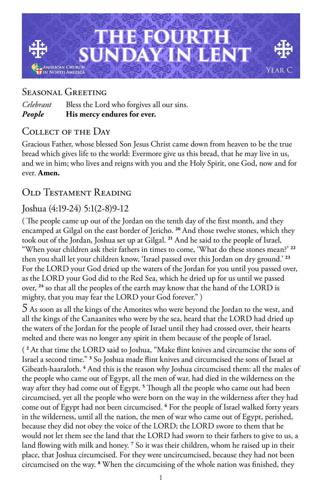

## Seasonal Greeting

*Celebrant* Bless the Lord who forgives all our sins. *People* **His mercy endures for ever.**

### Collect of the Day

Gracious Father, whose blessed Son Jesus Christ came down from heaven to be the true bread which gives life to the world: Evermore give us this bread, that he may live in us, and we in him; who lives and reigns with you and the Holy Spirit, one God, now and for ever. **Amen.**

# Old Testament Reading

### Joshua (4:19-24) 5:1(2-8)9-12

( The people came up out of the Jordan on the tenth day of the first month, and they encamped at Gilgal on the east border of Jericho. **<sup>20</sup>** And those twelve stones, which they took out of the Jordan, Joshua set up at Gilgal. **<sup>21</sup>** And he said to the people of Israel, "When your children ask their fathers in times to come, 'What do these stones mean?' **<sup>22</sup>** then you shall let your children know, 'Israel passed over this Jordan on dry ground.' **<sup>23</sup>** For the LORD your God dried up the waters of the Jordan for you until you passed over, as the LORD your God did to the Red Sea, which he dried up for us until we passed over, **<sup>24</sup>** so that all the peoples of the earth may know that the hand of the LORD is mighty, that you may fear the LORD your God forever." )

5 As soon as all the kings of the Amorites who were beyond the Jordan to the west, and all the kings of the Canaanites who were by the sea, heard that the LORD had dried up the waters of the Jordan for the people of Israel until they had crossed over, their hearts melted and there was no longer any spirit in them because of the people of Israel.

( **2** At that time the LORD said to Joshua, "Make flint knives and circumcise the sons of Israel a second time." **<sup>3</sup>** So Joshua made flint knives and circumcised the sons of Israel at Gibeath-haaraloth. **<sup>4</sup>** And this is the reason why Joshua circumcised them: all the males of the people who came out of Egypt, all the men of war, had died in the wilderness on the way after they had come out of Egypt. **<sup>5</sup>** Though all the people who came out had been circumcised, yet all the people who were born on the way in the wilderness after they had come out of Egypt had not been circumcised. <sup>6</sup> For the people of Israel walked forty years in the wilderness, until all the nation, the men of war who came out of Egypt, perished, because they did not obey the voice of the LORD; the LORD swore to them that he would not let them see the land that the LORD had sworn to their fathers to give to us, a land flowing with milk and honey.<sup>7</sup> So it was their children, whom he raised up in their place, that Joshua circumcised. For they were uncircumcised, because they had not been circumcised on the way. **<sup>8</sup>** When the circumcising of the whole nation was finished, they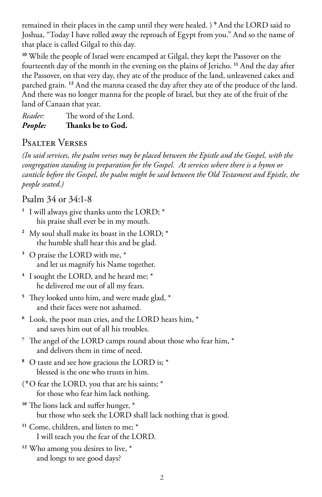remained in their places in the camp until they were healed. ) **<sup>9</sup>** And the LORD said to Joshua, "Today I have rolled away the reproach of Egypt from you." And so the name of that place is called Gilgal to this day.

**<sup>10</sup>** While the people of Israel were encamped at Gilgal, they kept the Passover on the fourteenth day of the month in the evening on the plains of Jericho. **<sup>11</sup>** And the day after the Passover, on that very day, they ate of the produce of the land, unleavened cakes and parched grain. **<sup>12</sup>** And the manna ceased the day after they ate of the produce of the land. And there was no longer manna for the people of Israel, but they ate of the fruit of the land of Canaan that year.

*Reader:* The word of the Lord. *People:* **Thanks be to God.** 

#### Psalter Verses

*(In said services, the psalm verses may be placed between the Epistle and the Gospel, with the congregation standing in preparation for the Gospel. At services where there is a hymn or canticle before the Gospel, the psalm might be said between the Old Testament and Epistle, the people seated.)*

#### Psalm 34 or 34:1-8

- **<sup>1</sup>** I will always give thanks unto the LORD; \* his praise shall ever be in my mouth.
- **<sup>2</sup>** My soul shall make its boast in the LORD; \* the humble shall hear this and be glad.
- **<sup>3</sup>** O praise the LORD with me, \* and let us magnify his Name together.
- **<sup>4</sup>** I sought the LORD, and he heard me; \* he delivered me out of all my fears.
- **<sup>5</sup>** They looked unto him, and were made glad, \* and their faces were not ashamed.
- **<sup>6</sup>** Look, the poor man cries, and the LORD hears him, \* and saves him out of all his troubles.
- **<sup>7</sup>** The angel of the LORD camps round about those who fear him, \* and delivers them in time of need.
- **<sup>8</sup>** O taste and see how gracious the LORD is; \* blessed is the one who trusts in him.
- ( **<sup>9</sup>**O fear the LORD, you that are his saints; \* for those who fear him lack nothing.
- **<sup>10</sup>** The lions lack and suffer hunger, \* but those who seek the LORD shall lack nothing that is good.
- **<sup>11</sup>** Come, children, and listen to me; \* I will teach you the fear of the LORD.
- **<sup>12</sup>** Who among you desires to live, \* and longs to see good days?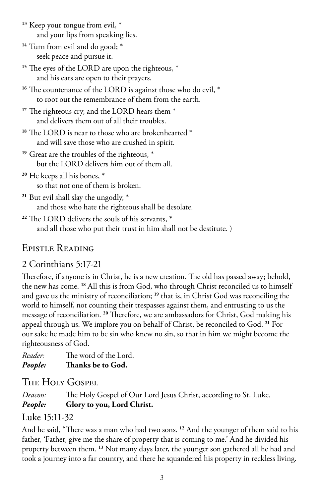- **<sup>13</sup>** Keep your tongue from evil, \* and your lips from speaking lies.
- **<sup>14</sup>** Turn from evil and do good; \* seek peace and pursue it.
- <sup>15</sup> The eyes of the LORD are upon the righteous,  $*$ and his ears are open to their prayers.
- **<sup>16</sup>** The countenance of the LORD is against those who do evil, \* to root out the remembrance of them from the earth.
- <sup>17</sup> The righteous cry, and the LORD hears them  $*$ and delivers them out of all their troubles.
- **<sup>18</sup>** The LORD is near to those who are brokenhearted \* and will save those who are crushed in spirit.
- <sup>19</sup> Great are the troubles of the righteous,  $*$ but the LORD delivers him out of them all.
- **<sup>20</sup>** He keeps all his bones, \* so that not one of them is broken.
- **<sup>21</sup>** But evil shall slay the ungodly, \* and those who hate the righteous shall be desolate.
- **<sup>22</sup>** The LORD delivers the souls of his servants, \* and all those who put their trust in him shall not be destitute. )

# Epistle Reading

# 2 Corinthians 5:17-21

Therefore, if anyone is in Christ, he is a new creation. The old has passed away; behold, the new has come. **<sup>18</sup>** All this is from God, who through Christ reconciled us to himself and gave us the ministry of reconciliation; **<sup>19</sup>** that is, in Christ God was reconciling the world to himself, not counting their trespasses against them, and entrusting to us the message of reconciliation. **<sup>20</sup>** Therefore, we are ambassadors for Christ, God making his appeal through us. We implore you on behalf of Christ, be reconciled to God. **<sup>21</sup>** For our sake he made him to be sin who knew no sin, so that in him we might become the righteousness of God.

*Reader:* The word of the Lord. *People:* **Thanks be to God.** 

# The Holy Gospel

*Deacon:* The Holy Gospel of Our Lord Jesus Christ, according to St. Luke. *People:* **Glory to you, Lord Christ.**

# Luke 15:11-32

And he said, "There was a man who had two sons. **<sup>12</sup>** And the younger of them said to his father, 'Father, give me the share of property that is coming to me.' And he divided his property between them. **<sup>13</sup>** Not many days later, the younger son gathered all he had and took a journey into a far country, and there he squandered his property in reckless living.